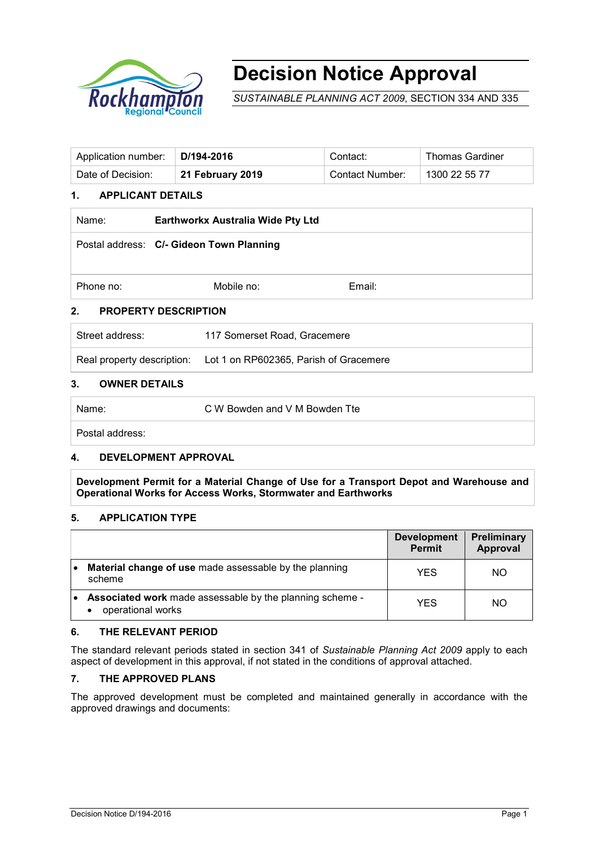

# **Decision Notice Approval**

*SUSTAINABLE PLANNING ACT 2009*, SECTION 334 AND 335

| Application number: | D/194-2016       | Contact:               | <b>Thomas Gardiner</b> |
|---------------------|------------------|------------------------|------------------------|
| Date of Decision:   | 21 February 2019 | <b>Contact Number:</b> | 1300 22 55 77          |

#### **1. APPLICANT DETAILS**

| Name:           | Earthworkx Australia Wide Pty Ltd        |        |
|-----------------|------------------------------------------|--------|
|                 | Postal address: C/- Gideon Town Planning |        |
| Phone no:       | Mobile no:                               | Email: |
| 2.              | <b>PROPERTY DESCRIPTION</b>              |        |
| Street address: | 117 Somerset Road, Gracemere             |        |

Real property description: Lot 1 on RP602365, Parish of Gracemere

#### **3. OWNER DETAILS**

Name: C W Bowden and V M Bowden Tte

Postal address:

#### **4. DEVELOPMENT APPROVAL**

**Development Permit for a Material Change of Use for a Transport Depot and Warehouse and Operational Works for Access Works, Stormwater and Earthworks**

#### **5. APPLICATION TYPE**

|           |                                                                               | <b>Development</b><br><b>Permit</b> | Preliminary<br>Approval |
|-----------|-------------------------------------------------------------------------------|-------------------------------------|-------------------------|
| $\bullet$ | Material change of use made assessable by the planning<br>scheme              | YES                                 | NO.                     |
| ٠         | Associated work made assessable by the planning scheme -<br>operational works | YES                                 | NO.                     |

#### **6. THE RELEVANT PERIOD**

The standard relevant periods stated in section 341 of *Sustainable Planning Act 2009* apply to each aspect of development in this approval, if not stated in the conditions of approval attached.

## **7. THE APPROVED PLANS**

The approved development must be completed and maintained generally in accordance with the approved drawings and documents: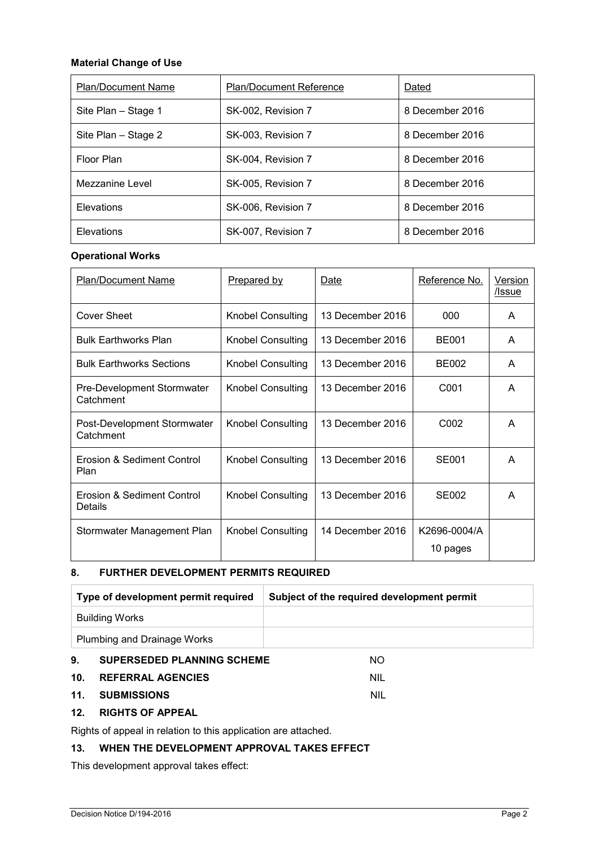#### **Material Change of Use**

| <b>Plan/Document Name</b> | <b>Plan/Document Reference</b> | Dated           |
|---------------------------|--------------------------------|-----------------|
| Site Plan - Stage 1       | SK-002, Revision 7             | 8 December 2016 |
| Site Plan - Stage 2       | SK-003, Revision 7             | 8 December 2016 |
| Floor Plan                | SK-004, Revision 7             | 8 December 2016 |
| Mezzanine Level           | SK-005, Revision 7             | 8 December 2016 |
| Elevations                | SK-006, Revision 7             | 8 December 2016 |
| Elevations                | SK-007, Revision 7             | 8 December 2016 |

#### **Operational Works**

| <b>Plan/Document Name</b>                      | <b>Prepared by</b>       | Date             | Reference No.            | Version<br><u>/Issue</u> |
|------------------------------------------------|--------------------------|------------------|--------------------------|--------------------------|
| <b>Cover Sheet</b>                             | <b>Knobel Consulting</b> | 13 December 2016 | 000                      | A                        |
| <b>Bulk Earthworks Plan</b>                    | Knobel Consulting        | 13 December 2016 | <b>BE001</b>             | A                        |
| <b>Bulk Earthworks Sections</b>                | <b>Knobel Consulting</b> | 13 December 2016 | BE002                    | A                        |
| <b>Pre-Development Stormwater</b><br>Catchment | <b>Knobel Consulting</b> | 13 December 2016 | C <sub>001</sub>         | A                        |
| Post-Development Stormwater<br>Catchment       | <b>Knobel Consulting</b> | 13 December 2016 | C002                     | A                        |
| Erosion & Sediment Control<br>Plan             | <b>Knobel Consulting</b> | 13 December 2016 | <b>SE001</b>             | A                        |
| Erosion & Sediment Control<br>Details          | <b>Knobel Consulting</b> | 13 December 2016 | SE002                    | A                        |
| Stormwater Management Plan                     | <b>Knobel Consulting</b> | 14 December 2016 | K2696-0004/A<br>10 pages |                          |

#### **8. FURTHER DEVELOPMENT PERMITS REQUIRED**

| Type of development permit required     | Subject of the required development permit |  |
|-----------------------------------------|--------------------------------------------|--|
| <b>Building Works</b>                   |                                            |  |
| Plumbing and Drainage Works             |                                            |  |
| <b>SUPERSEDED PLANNING SCHEME</b><br>9. | NΟ                                         |  |

## **10. REFERRAL AGENCIES** NIL

#### **11. SUBMISSIONS** NIL

#### **12. RIGHTS OF APPEAL**

Rights of appeal in relation to this application are attached.

## **13. WHEN THE DEVELOPMENT APPROVAL TAKES EFFECT**

This development approval takes effect: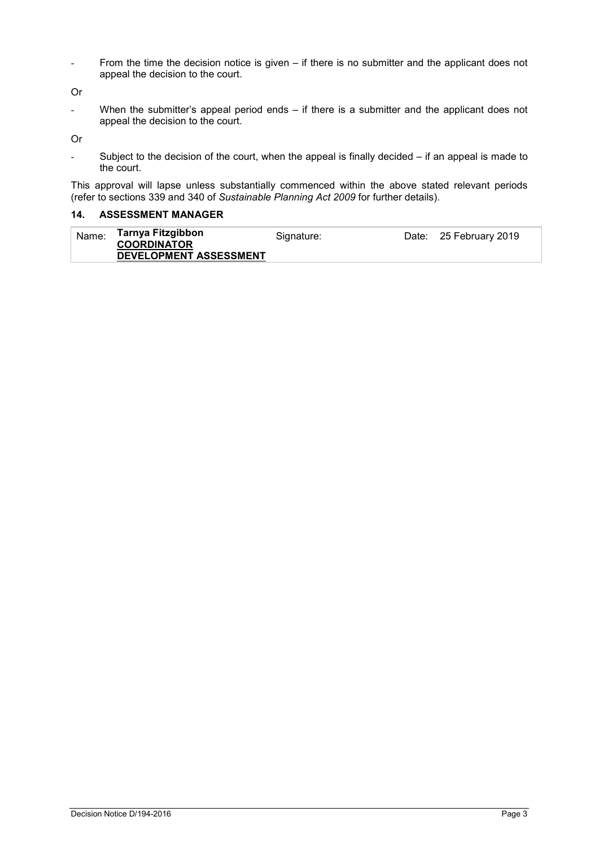- From the time the decision notice is given – if there is no submitter and the applicant does not appeal the decision to the court.

Or

When the submitter's appeal period ends – if there is a submitter and the applicant does not appeal the decision to the court.

Or

- Subject to the decision of the court, when the appeal is finally decided – if an appeal is made to the court.

This approval will lapse unless substantially commenced within the above stated relevant periods (refer to sections 339 and 340 of *Sustainable Planning Act 2009* for further details).

#### **14. ASSESSMENT MANAGER**

| Name: | Tarnya Fitzgibbon<br><b>COORDINATOR</b> | Signature: | Date: 25 February 2019 |
|-------|-----------------------------------------|------------|------------------------|
|       | <b>DEVELOPMENT ASSESSMENT</b>           |            |                        |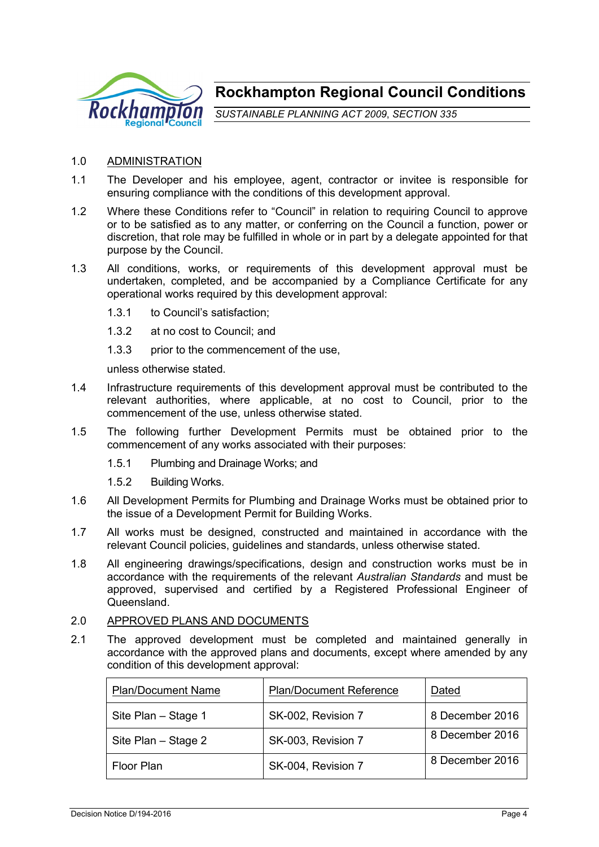

**Rockhampton Regional Council Conditions**

*SUSTAINABLE PLANNING ACT 2009*, *SECTION 335*

#### 1.0 ADMINISTRATION

- 1.1 The Developer and his employee, agent, contractor or invitee is responsible for ensuring compliance with the conditions of this development approval.
- 1.2 Where these Conditions refer to "Council" in relation to requiring Council to approve or to be satisfied as to any matter, or conferring on the Council a function, power or discretion, that role may be fulfilled in whole or in part by a delegate appointed for that purpose by the Council.
- 1.3 All conditions, works, or requirements of this development approval must be undertaken, completed, and be accompanied by a Compliance Certificate for any operational works required by this development approval:
	- 1.3.1 to Council's satisfaction;
	- 1.3.2 at no cost to Council; and
	- 1.3.3 prior to the commencement of the use.

unless otherwise stated.

- 1.4 Infrastructure requirements of this development approval must be contributed to the relevant authorities, where applicable, at no cost to Council, prior to the commencement of the use, unless otherwise stated.
- 1.5 The following further Development Permits must be obtained prior to the commencement of any works associated with their purposes:
	- 1.5.1 Plumbing and Drainage Works; and
	- 1.5.2 Building Works.
- 1.6 All Development Permits for Plumbing and Drainage Works must be obtained prior to the issue of a Development Permit for Building Works.
- 1.7 All works must be designed, constructed and maintained in accordance with the relevant Council policies, guidelines and standards, unless otherwise stated.
- 1.8 All engineering drawings/specifications, design and construction works must be in accordance with the requirements of the relevant *Australian Standards* and must be approved, supervised and certified by a Registered Professional Engineer of **Queensland**

#### 2.0 APPROVED PLANS AND DOCUMENTS

2.1 The approved development must be completed and maintained generally in accordance with the approved plans and documents, except where amended by any condition of this development approval:

| <b>Plan/Document Name</b> | <b>Plan/Document Reference</b> | Dated           |
|---------------------------|--------------------------------|-----------------|
| Site Plan - Stage 1       | SK-002, Revision 7             | 8 December 2016 |
| Site Plan - Stage 2       | SK-003, Revision 7             | 8 December 2016 |
| <b>Floor Plan</b>         | SK-004, Revision 7             | 8 December 2016 |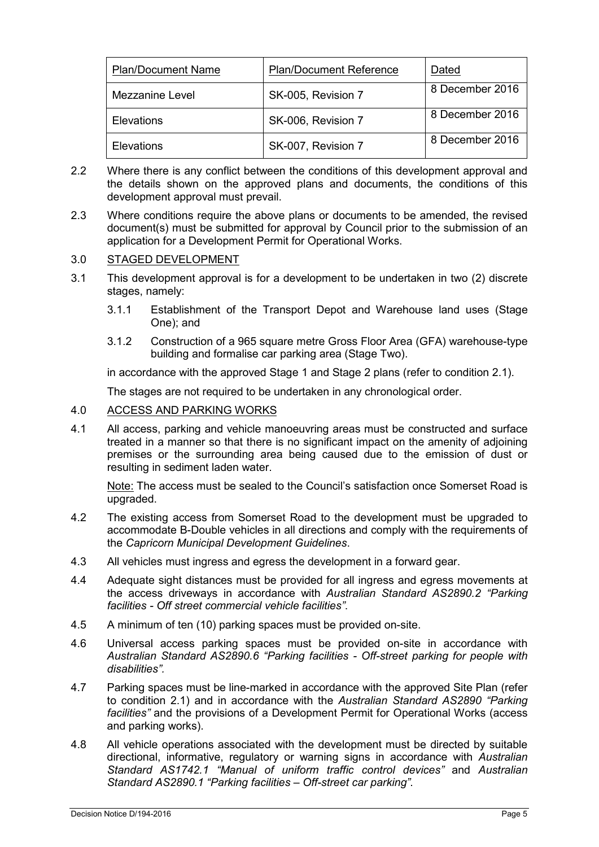| <b>Plan/Document Name</b> | <b>Plan/Document Reference</b> | Dated           |
|---------------------------|--------------------------------|-----------------|
| Mezzanine Level           | SK-005, Revision 7             | 8 December 2016 |
| <b>Elevations</b>         | SK-006, Revision 7             | 8 December 2016 |
| <b>Elevations</b>         | SK-007, Revision 7             | 8 December 2016 |

- 2.2 Where there is any conflict between the conditions of this development approval and the details shown on the approved plans and documents, the conditions of this development approval must prevail.
- 2.3 Where conditions require the above plans or documents to be amended, the revised document(s) must be submitted for approval by Council prior to the submission of an application for a Development Permit for Operational Works.

#### 3.0 STAGED DEVELOPMENT

- 3.1 This development approval is for a development to be undertaken in two (2) discrete stages, namely:
	- 3.1.1 Establishment of the Transport Depot and Warehouse land uses (Stage One); and
	- 3.1.2 Construction of a 965 square metre Gross Floor Area (GFA) warehouse-type building and formalise car parking area (Stage Two).

in accordance with the approved Stage 1 and Stage 2 plans (refer to condition 2.1).

The stages are not required to be undertaken in any chronological order.

## 4.0 ACCESS AND PARKING WORKS

4.1 All access, parking and vehicle manoeuvring areas must be constructed and surface treated in a manner so that there is no significant impact on the amenity of adjoining premises or the surrounding area being caused due to the emission of dust or resulting in sediment laden water.

Note: The access must be sealed to the Council's satisfaction once Somerset Road is upgraded.

- 4.2 The existing access from Somerset Road to the development must be upgraded to accommodate B-Double vehicles in all directions and comply with the requirements of the *Capricorn Municipal Development Guidelines*.
- 4.3 All vehicles must ingress and egress the development in a forward gear.
- 4.4 Adequate sight distances must be provided for all ingress and egress movements at the access driveways in accordance with *Australian Standard AS2890.2 "Parking facilities - Off street commercial vehicle facilities"*.
- 4.5 A minimum of ten (10) parking spaces must be provided on-site.
- 4.6 Universal access parking spaces must be provided on-site in accordance with *Australian Standard AS2890.6 "Parking facilities - Off-street parking for people with disabilities".*
- 4.7 Parking spaces must be line-marked in accordance with the approved Site Plan (refer to condition 2.1) and in accordance with the *Australian Standard AS2890 "Parking facilities"* and the provisions of a Development Permit for Operational Works (access and parking works).
- 4.8 All vehicle operations associated with the development must be directed by suitable directional, informative, regulatory or warning signs in accordance with *Australian Standard AS1742.1 "Manual of uniform traffic control devices"* and *Australian Standard AS2890.1 "Parking facilities – Off-street car parking"*.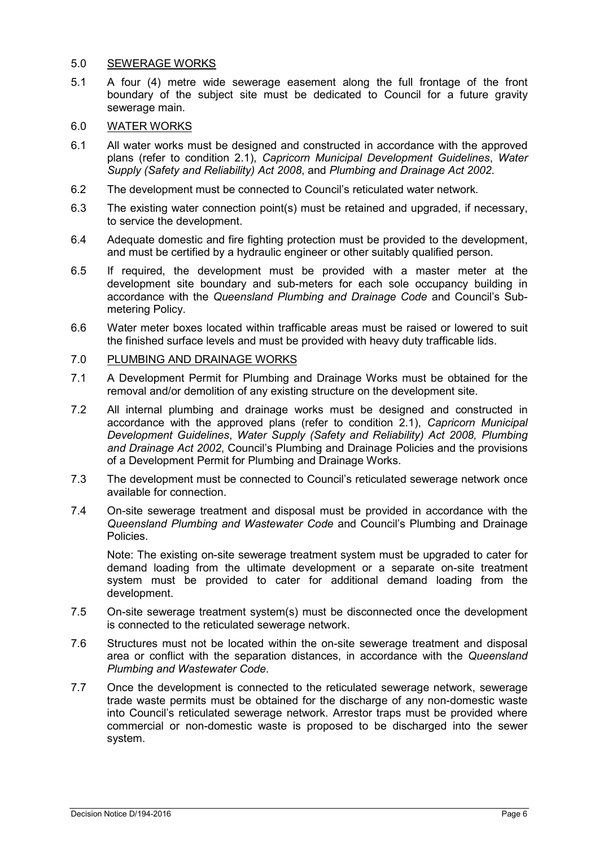#### 5.0 SEWERAGE WORKS

- 5.1 A four (4) metre wide sewerage easement along the full frontage of the front boundary of the subject site must be dedicated to Council for a future gravity sewerage main.
- 6.0 WATER WORKS
- 6.1 All water works must be designed and constructed in accordance with the approved plans (refer to condition 2.1), *Capricorn Municipal Development Guidelines*, *Water Supply (Safety and Reliability) Act 2008*, and *Plumbing and Drainage Act 2002*.
- 6.2 The development must be connected to Council's reticulated water network*.*
- 6.3 The existing water connection point(s) must be retained and upgraded, if necessary, to service the development.
- 6.4 Adequate domestic and fire fighting protection must be provided to the development, and must be certified by a hydraulic engineer or other suitably qualified person.
- 6.5 If required, the development must be provided with a master meter at the development site boundary and sub-meters for each sole occupancy building in accordance with the *Queensland Plumbing and Drainage Code* and Council's Submetering Policy.
- 6.6 Water meter boxes located within trafficable areas must be raised or lowered to suit the finished surface levels and must be provided with heavy duty trafficable lids.
- 7.0 PLUMBING AND DRAINAGE WORKS
- 7.1 A Development Permit for Plumbing and Drainage Works must be obtained for the removal and/or demolition of any existing structure on the development site.
- 7.2 All internal plumbing and drainage works must be designed and constructed in accordance with the approved plans (refer to condition 2.1), *Capricorn Municipal Development Guidelines*, *Water Supply (Safety and Reliability) Act 2008, Plumbing and Drainage Act 2002*, Council's Plumbing and Drainage Policies and the provisions of a Development Permit for Plumbing and Drainage Works.
- 7.3 The development must be connected to Council's reticulated sewerage network once available for connection.
- 7.4 On-site sewerage treatment and disposal must be provided in accordance with the *Queensland Plumbing and Wastewater Code* and Council's Plumbing and Drainage Policies.

Note: The existing on-site sewerage treatment system must be upgraded to cater for demand loading from the ultimate development or a separate on-site treatment system must be provided to cater for additional demand loading from the development.

- 7.5 On-site sewerage treatment system(s) must be disconnected once the development is connected to the reticulated sewerage network.
- 7.6 Structures must not be located within the on-site sewerage treatment and disposal area or conflict with the separation distances, in accordance with the *Queensland Plumbing and Wastewater Code*.
- 7.7 Once the development is connected to the reticulated sewerage network, sewerage trade waste permits must be obtained for the discharge of any non-domestic waste into Council's reticulated sewerage network. Arrestor traps must be provided where commercial or non-domestic waste is proposed to be discharged into the sewer system.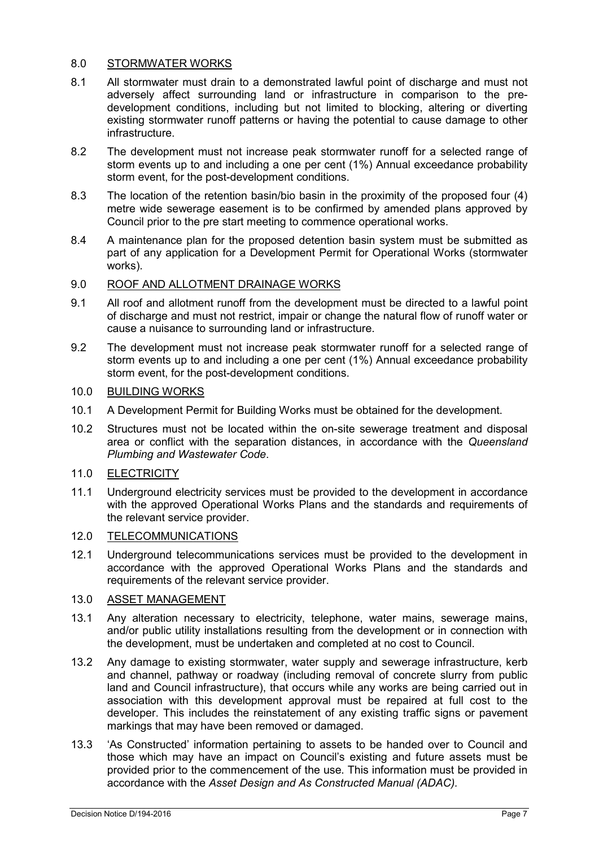## 8.0 STORMWATER WORKS

- 8.1 All stormwater must drain to a demonstrated lawful point of discharge and must not adversely affect surrounding land or infrastructure in comparison to the predevelopment conditions, including but not limited to blocking, altering or diverting existing stormwater runoff patterns or having the potential to cause damage to other infrastructure.
- 8.2 The development must not increase peak stormwater runoff for a selected range of storm events up to and including a one per cent (1%) Annual exceedance probability storm event, for the post-development conditions.
- 8.3 The location of the retention basin/bio basin in the proximity of the proposed four (4) metre wide sewerage easement is to be confirmed by amended plans approved by Council prior to the pre start meeting to commence operational works.
- 8.4 A maintenance plan for the proposed detention basin system must be submitted as part of any application for a Development Permit for Operational Works (stormwater works).

#### 9.0 ROOF AND ALLOTMENT DRAINAGE WORKS

- 9.1 All roof and allotment runoff from the development must be directed to a lawful point of discharge and must not restrict, impair or change the natural flow of runoff water or cause a nuisance to surrounding land or infrastructure.
- 9.2 The development must not increase peak stormwater runoff for a selected range of storm events up to and including a one per cent (1%) Annual exceedance probability storm event, for the post-development conditions.

## 10.0 BUILDING WORKS

- 10.1 A Development Permit for Building Works must be obtained for the development.
- 10.2 Structures must not be located within the on-site sewerage treatment and disposal area or conflict with the separation distances, in accordance with the *Queensland Plumbing and Wastewater Code*.
- 11.0 ELECTRICITY
- 11.1 Underground electricity services must be provided to the development in accordance with the approved Operational Works Plans and the standards and requirements of the relevant service provider.

## 12.0 TELECOMMUNICATIONS

12.1 Underground telecommunications services must be provided to the development in accordance with the approved Operational Works Plans and the standards and requirements of the relevant service provider.

## 13.0 ASSET MANAGEMENT

- 13.1 Any alteration necessary to electricity, telephone, water mains, sewerage mains, and/or public utility installations resulting from the development or in connection with the development, must be undertaken and completed at no cost to Council.
- 13.2 Any damage to existing stormwater, water supply and sewerage infrastructure, kerb and channel, pathway or roadway (including removal of concrete slurry from public land and Council infrastructure), that occurs while any works are being carried out in association with this development approval must be repaired at full cost to the developer. This includes the reinstatement of any existing traffic signs or pavement markings that may have been removed or damaged.
- 13.3 'As Constructed' information pertaining to assets to be handed over to Council and those which may have an impact on Council's existing and future assets must be provided prior to the commencement of the use. This information must be provided in accordance with the *Asset Design and As Constructed Manual (ADAC).*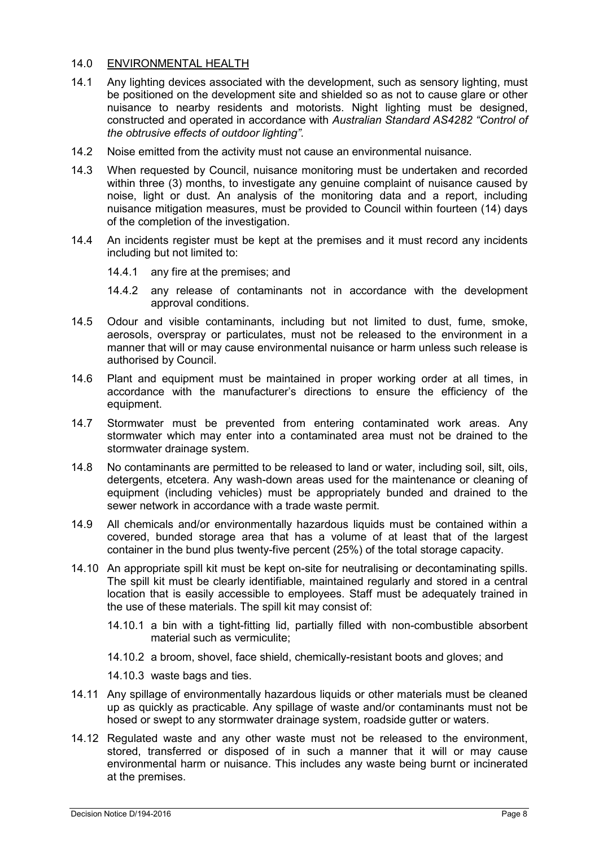#### 14.0 ENVIRONMENTAL HEALTH

- 14.1 Any lighting devices associated with the development, such as sensory lighting, must be positioned on the development site and shielded so as not to cause glare or other nuisance to nearby residents and motorists. Night lighting must be designed, constructed and operated in accordance with *Australian Standard AS4282 "Control of the obtrusive effects of outdoor lighting"*.
- 14.2 Noise emitted from the activity must not cause an environmental nuisance.
- 14.3 When requested by Council, nuisance monitoring must be undertaken and recorded within three (3) months, to investigate any genuine complaint of nuisance caused by noise, light or dust. An analysis of the monitoring data and a report, including nuisance mitigation measures, must be provided to Council within fourteen (14) days of the completion of the investigation.
- 14.4 An incidents register must be kept at the premises and it must record any incidents including but not limited to:
	- 14.4.1 any fire at the premises; and
	- 14.4.2 any release of contaminants not in accordance with the development approval conditions.
- 14.5 Odour and visible contaminants, including but not limited to dust, fume, smoke, aerosols, overspray or particulates, must not be released to the environment in a manner that will or may cause environmental nuisance or harm unless such release is authorised by Council.
- 14.6 Plant and equipment must be maintained in proper working order at all times, in accordance with the manufacturer's directions to ensure the efficiency of the equipment.
- 14.7 Stormwater must be prevented from entering contaminated work areas. Any stormwater which may enter into a contaminated area must not be drained to the stormwater drainage system.
- 14.8 No contaminants are permitted to be released to land or water, including soil, silt, oils, detergents, etcetera. Any wash-down areas used for the maintenance or cleaning of equipment (including vehicles) must be appropriately bunded and drained to the sewer network in accordance with a trade waste permit.
- 14.9 All chemicals and/or environmentally hazardous liquids must be contained within a covered, bunded storage area that has a volume of at least that of the largest container in the bund plus twenty-five percent (25%) of the total storage capacity.
- 14.10 An appropriate spill kit must be kept on-site for neutralising or decontaminating spills. The spill kit must be clearly identifiable, maintained regularly and stored in a central location that is easily accessible to employees. Staff must be adequately trained in the use of these materials. The spill kit may consist of:
	- 14.10.1 a bin with a tight-fitting lid, partially filled with non-combustible absorbent material such as vermiculite;
	- 14.10.2 a broom, shovel, face shield, chemically-resistant boots and gloves; and
	- 14.10.3 waste bags and ties.
- 14.11 Any spillage of environmentally hazardous liquids or other materials must be cleaned up as quickly as practicable. Any spillage of waste and/or contaminants must not be hosed or swept to any stormwater drainage system, roadside gutter or waters.
- 14.12 Regulated waste and any other waste must not be released to the environment, stored, transferred or disposed of in such a manner that it will or may cause environmental harm or nuisance. This includes any waste being burnt or incinerated at the premises.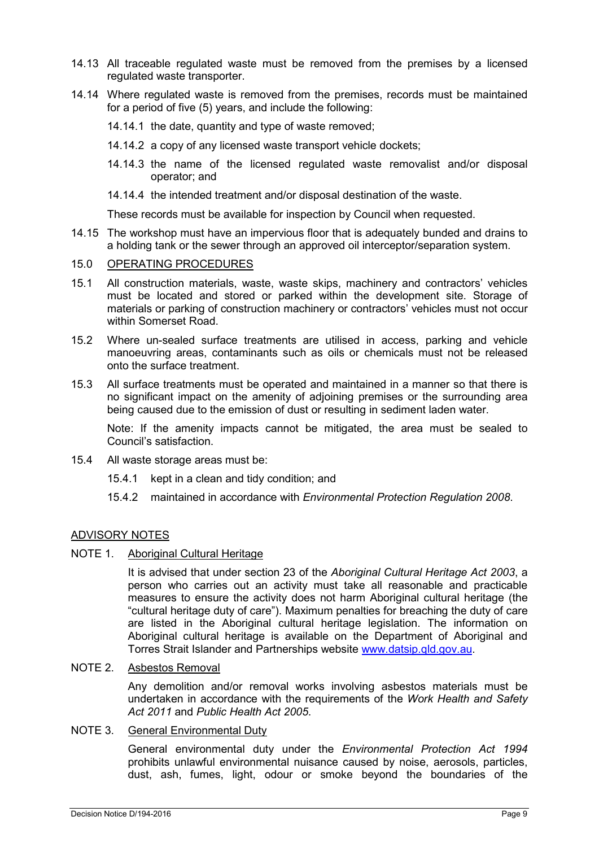- 14.13 All traceable regulated waste must be removed from the premises by a licensed regulated waste transporter.
- 14.14 Where regulated waste is removed from the premises, records must be maintained for a period of five (5) years, and include the following:
	- 14.14.1 the date, quantity and type of waste removed;
	- 14.14.2 a copy of any licensed waste transport vehicle dockets;
	- 14.14.3 the name of the licensed regulated waste removalist and/or disposal operator; and
	- 14.14.4 the intended treatment and/or disposal destination of the waste.

These records must be available for inspection by Council when requested.

14.15 The workshop must have an impervious floor that is adequately bunded and drains to a holding tank or the sewer through an approved oil interceptor/separation system.

#### 15.0 OPERATING PROCEDURES

- 15.1 All construction materials, waste, waste skips, machinery and contractors' vehicles must be located and stored or parked within the development site. Storage of materials or parking of construction machinery or contractors' vehicles must not occur within Somerset Road.
- 15.2 Where un-sealed surface treatments are utilised in access, parking and vehicle manoeuvring areas, contaminants such as oils or chemicals must not be released onto the surface treatment.
- 15.3 All surface treatments must be operated and maintained in a manner so that there is no significant impact on the amenity of adjoining premises or the surrounding area being caused due to the emission of dust or resulting in sediment laden water.

Note: If the amenity impacts cannot be mitigated, the area must be sealed to Council's satisfaction.

- 15.4 All waste storage areas must be:
	- 15.4.1 kept in a clean and tidy condition; and
	- 15.4.2 maintained in accordance with *Environmental Protection Regulation 2008*.

#### ADVISORY NOTES

#### NOTE 1. Aboriginal Cultural Heritage

It is advised that under section 23 of the *Aboriginal Cultural Heritage Act 2003*, a person who carries out an activity must take all reasonable and practicable measures to ensure the activity does not harm Aboriginal cultural heritage (the "cultural heritage duty of care"). Maximum penalties for breaching the duty of care are listed in the Aboriginal cultural heritage legislation. The information on Aboriginal cultural heritage is available on the Department of Aboriginal and Torres Strait Islander and Partnerships website [www.datsip.qld.gov.au.](http://www.datsip.qld.gov.au/)

### NOTE 2. Asbestos Removal

Any demolition and/or removal works involving asbestos materials must be undertaken in accordance with the requirements of the *Work Health and Safety Act 2011* and *Public Health Act 2005*.

#### NOTE 3. General Environmental Duty

General environmental duty under the *Environmental Protection Act 1994* prohibits unlawful environmental nuisance caused by noise, aerosols, particles, dust, ash, fumes, light, odour or smoke beyond the boundaries of the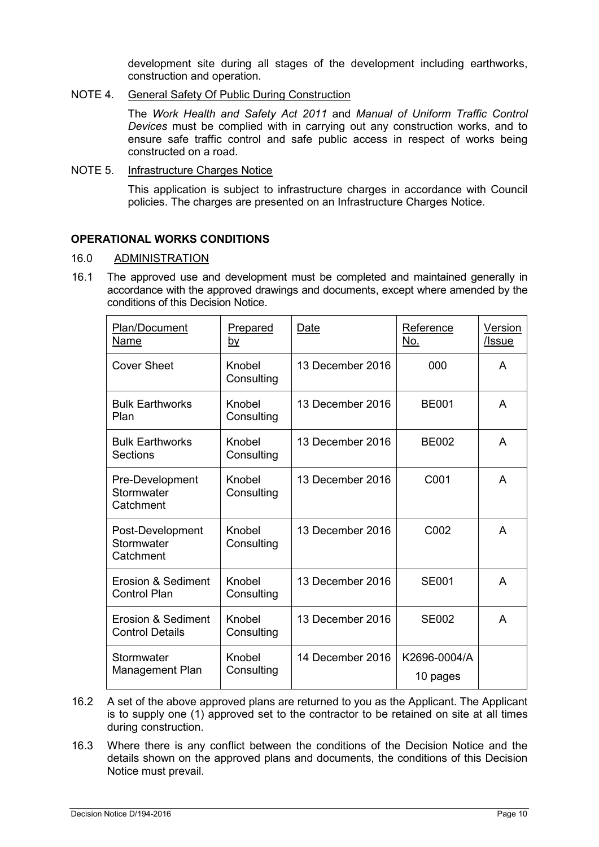development site during all stages of the development including earthworks, construction and operation.

NOTE 4. General Safety Of Public During Construction

The *Work Health and Safety Act 2011* and *Manual of Uniform Traffic Control Devices* must be complied with in carrying out any construction works, and to ensure safe traffic control and safe public access in respect of works being constructed on a road.

NOTE 5. Infrastructure Charges Notice

This application is subject to infrastructure charges in accordance with Council policies. The charges are presented on an Infrastructure Charges Notice.

## **OPERATIONAL WORKS CONDITIONS**

#### 16.0 ADMINISTRATION

16.1 The approved use and development must be completed and maintained generally in accordance with the approved drawings and documents, except where amended by the conditions of this Decision Notice.

| Plan/Document<br><b>Name</b>                 | Prepared<br><u>bv</u> | Date             | Reference<br>No.         | <b>Version</b><br>/Issue |
|----------------------------------------------|-----------------------|------------------|--------------------------|--------------------------|
| <b>Cover Sheet</b>                           | Knobel<br>Consulting  | 13 December 2016 | 000                      | A                        |
| <b>Bulk Earthworks</b><br>Plan               | Knobel<br>Consulting  | 13 December 2016 | <b>BE001</b>             | A                        |
| <b>Bulk Earthworks</b><br><b>Sections</b>    | Knobel<br>Consulting  | 13 December 2016 | <b>BE002</b>             | A                        |
| Pre-Development<br>Stormwater<br>Catchment   | Knobel<br>Consulting  | 13 December 2016 | C001                     | A                        |
| Post-Development<br>Stormwater<br>Catchment  | Knobel<br>Consulting  | 13 December 2016 | C002                     | A                        |
| Erosion & Sediment<br><b>Control Plan</b>    | Knobel<br>Consulting  | 13 December 2016 | <b>SE001</b>             | A                        |
| Erosion & Sediment<br><b>Control Details</b> | Knobel<br>Consulting  | 13 December 2016 | <b>SE002</b>             | A                        |
| Stormwater<br>Management Plan                | Knobel<br>Consulting  | 14 December 2016 | K2696-0004/A<br>10 pages |                          |

- 16.2 A set of the above approved plans are returned to you as the Applicant. The Applicant is to supply one (1) approved set to the contractor to be retained on site at all times during construction.
- 16.3 Where there is any conflict between the conditions of the Decision Notice and the details shown on the approved plans and documents, the conditions of this Decision Notice must prevail.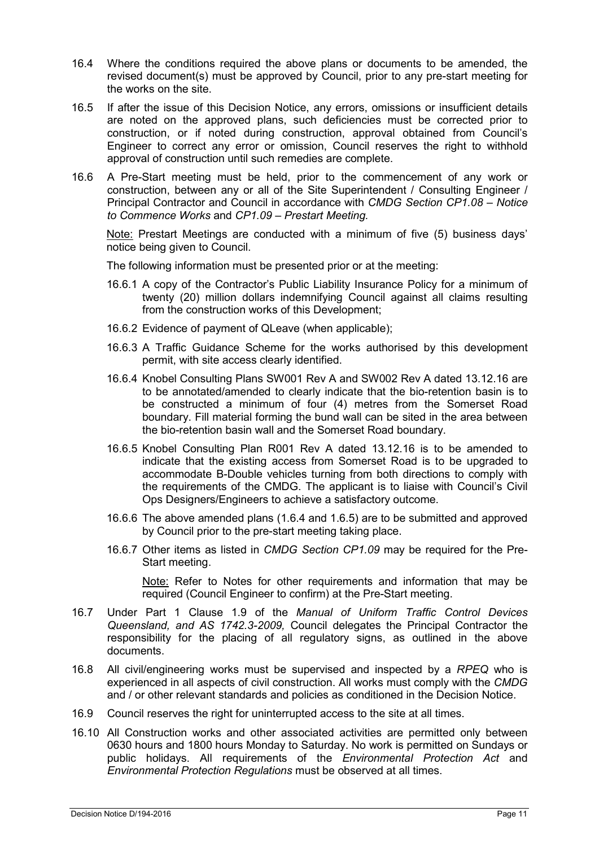- 16.4 Where the conditions required the above plans or documents to be amended, the revised document(s) must be approved by Council, prior to any pre-start meeting for the works on the site.
- 16.5 If after the issue of this Decision Notice, any errors, omissions or insufficient details are noted on the approved plans, such deficiencies must be corrected prior to construction, or if noted during construction, approval obtained from Council's Engineer to correct any error or omission, Council reserves the right to withhold approval of construction until such remedies are complete.
- 16.6 A Pre-Start meeting must be held, prior to the commencement of any work or construction, between any or all of the Site Superintendent / Consulting Engineer / Principal Contractor and Council in accordance with *CMDG Section CP1.08 – Notice to Commence Works* and *CP1.09 – Prestart Meeting.*

Note: Prestart Meetings are conducted with a minimum of five (5) business days' notice being given to Council.

The following information must be presented prior or at the meeting:

- 16.6.1 A copy of the Contractor's Public Liability Insurance Policy for a minimum of twenty (20) million dollars indemnifying Council against all claims resulting from the construction works of this Development;
- 16.6.2 Evidence of payment of QLeave (when applicable);
- 16.6.3 A Traffic Guidance Scheme for the works authorised by this development permit, with site access clearly identified.
- 16.6.4 Knobel Consulting Plans SW001 Rev A and SW002 Rev A dated 13.12.16 are to be annotated/amended to clearly indicate that the bio-retention basin is to be constructed a minimum of four (4) metres from the Somerset Road boundary. Fill material forming the bund wall can be sited in the area between the bio-retention basin wall and the Somerset Road boundary.
- 16.6.5 Knobel Consulting Plan R001 Rev A dated 13.12.16 is to be amended to indicate that the existing access from Somerset Road is to be upgraded to accommodate B-Double vehicles turning from both directions to comply with the requirements of the CMDG. The applicant is to liaise with Council's Civil Ops Designers/Engineers to achieve a satisfactory outcome.
- 16.6.6 The above amended plans (1.6.4 and 1.6.5) are to be submitted and approved by Council prior to the pre-start meeting taking place.
- 16.6.7 Other items as listed in *CMDG Section CP1.09* may be required for the Pre-Start meeting.

Note: Refer to Notes for other requirements and information that may be required (Council Engineer to confirm) at the Pre-Start meeting.

- 16.7 Under Part 1 Clause 1.9 of the *Manual of Uniform Traffic Control Devices Queensland, and AS 1742.3-2009,* Council delegates the Principal Contractor the responsibility for the placing of all regulatory signs, as outlined in the above documents.
- 16.8 All civil/engineering works must be supervised and inspected by a *RPEQ* who is experienced in all aspects of civil construction. All works must comply with the *CMDG* and / or other relevant standards and policies as conditioned in the Decision Notice.
- 16.9 Council reserves the right for uninterrupted access to the site at all times.
- 16.10 All Construction works and other associated activities are permitted only between 0630 hours and 1800 hours Monday to Saturday. No work is permitted on Sundays or public holidays. All requirements of the *Environmental Protection Act* and *Environmental Protection Regulations* must be observed at all times.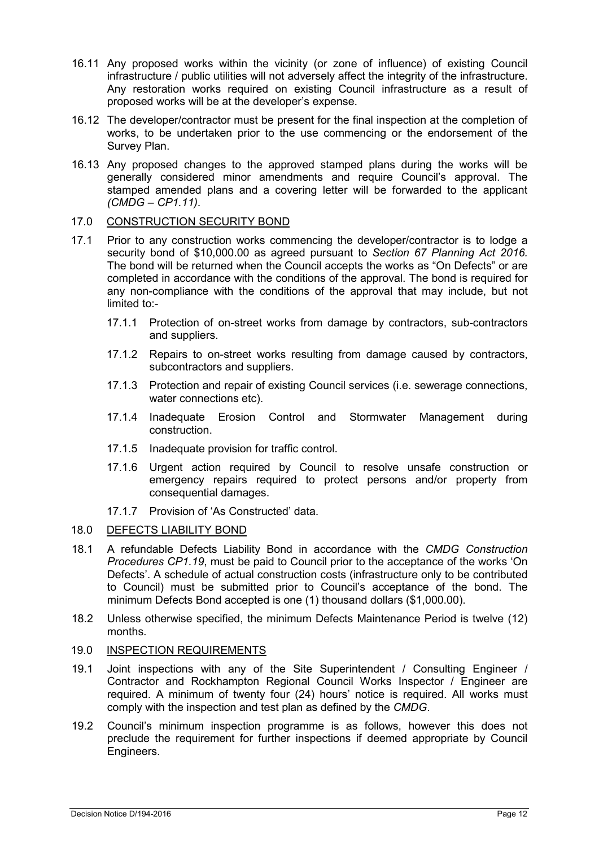- 16.11 Any proposed works within the vicinity (or zone of influence) of existing Council infrastructure / public utilities will not adversely affect the integrity of the infrastructure. Any restoration works required on existing Council infrastructure as a result of proposed works will be at the developer's expense.
- 16.12 The developer/contractor must be present for the final inspection at the completion of works, to be undertaken prior to the use commencing or the endorsement of the Survey Plan.
- 16.13 Any proposed changes to the approved stamped plans during the works will be generally considered minor amendments and require Council's approval. The stamped amended plans and a covering letter will be forwarded to the applicant *(CMDG – CP1.11)*.

## 17.0 CONSTRUCTION SECURITY BOND

- 17.1 Prior to any construction works commencing the developer/contractor is to lodge a security bond of \$10,000.00 as agreed pursuant to *Section 67 Planning Act 2016.* The bond will be returned when the Council accepts the works as "On Defects" or are completed in accordance with the conditions of the approval. The bond is required for any non-compliance with the conditions of the approval that may include, but not limited to:-
	- 17.1.1 Protection of on-street works from damage by contractors, sub-contractors and suppliers.
	- 17.1.2 Repairs to on-street works resulting from damage caused by contractors, subcontractors and suppliers.
	- 17.1.3 Protection and repair of existing Council services (i.e. sewerage connections, water connections etc).
	- 17.1.4 Inadequate Erosion Control and Stormwater Management during construction.
	- 17.1.5 Inadequate provision for traffic control.
	- 17.1.6 Urgent action required by Council to resolve unsafe construction or emergency repairs required to protect persons and/or property from consequential damages.
	- 17.1.7 Provision of 'As Constructed' data.

#### 18.0 DEFECTS LIABILITY BOND

- 18.1 A refundable Defects Liability Bond in accordance with the *CMDG Construction Procedures CP1.19*, must be paid to Council prior to the acceptance of the works 'On Defects'. A schedule of actual construction costs (infrastructure only to be contributed to Council) must be submitted prior to Council's acceptance of the bond. The minimum Defects Bond accepted is one (1) thousand dollars (\$1,000.00).
- 18.2 Unless otherwise specified, the minimum Defects Maintenance Period is twelve (12) months.

## 19.0 INSPECTION REQUIREMENTS

- 19.1 Joint inspections with any of the Site Superintendent / Consulting Engineer / Contractor and Rockhampton Regional Council Works Inspector / Engineer are required. A minimum of twenty four (24) hours' notice is required. All works must comply with the inspection and test plan as defined by the *CMDG*.
- 19.2 Council's minimum inspection programme is as follows, however this does not preclude the requirement for further inspections if deemed appropriate by Council Engineers.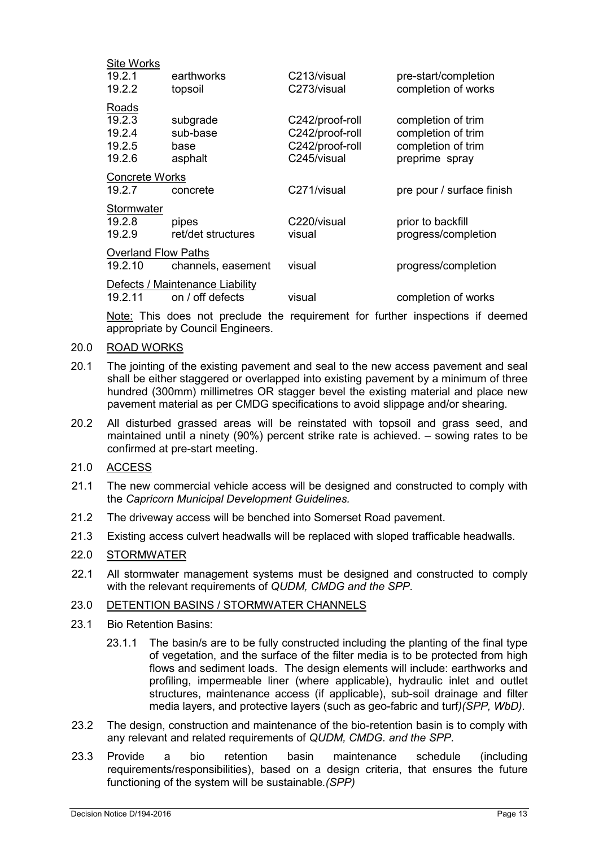| <b>Site Works</b>               |                            |                 |                           |  |  |  |
|---------------------------------|----------------------------|-----------------|---------------------------|--|--|--|
| 19.2.1                          | earthworks                 | C213/visual     | pre-start/completion      |  |  |  |
| 19.2.2                          | topsoil                    | C273/visual     | completion of works       |  |  |  |
| Roads                           |                            |                 |                           |  |  |  |
| 19.2.3                          | subgrade                   | C242/proof-roll | completion of trim        |  |  |  |
| 19.2.4                          | sub-base                   | C242/proof-roll | completion of trim        |  |  |  |
| 19.2.5                          | base                       | C242/proof-roll | completion of trim        |  |  |  |
| 19.2.6                          | asphalt                    | C245/visual     | preprime spray            |  |  |  |
| <b>Concrete Works</b>           |                            |                 |                           |  |  |  |
| 19.2.7                          | concrete                   | C271/visual     | pre pour / surface finish |  |  |  |
| Stormwater                      |                            |                 |                           |  |  |  |
| 19.2.8                          | pipes                      | C220/visual     | prior to backfill         |  |  |  |
| 19.2.9                          | ret/det structures         | visual          | progress/completion       |  |  |  |
|                                 | <b>Overland Flow Paths</b> |                 |                           |  |  |  |
| 19.2.10                         | channels, easement         | visual          | progress/completion       |  |  |  |
| Defects / Maintenance Liability |                            |                 |                           |  |  |  |
| 19.2.11                         | on / off defects           | visual          | completion of works       |  |  |  |

Note: This does not preclude the requirement for further inspections if deemed appropriate by Council Engineers.

#### 20.0 ROAD WORKS

- 20.1 The jointing of the existing pavement and seal to the new access pavement and seal shall be either staggered or overlapped into existing pavement by a minimum of three hundred (300mm) millimetres OR stagger bevel the existing material and place new pavement material as per CMDG specifications to avoid slippage and/or shearing.
- 20.2 All disturbed grassed areas will be reinstated with topsoil and grass seed, and maintained until a ninety (90%) percent strike rate is achieved. – sowing rates to be confirmed at pre-start meeting.

## 21.0 ACCESS

- 21.1 The new commercial vehicle access will be designed and constructed to comply with the *Capricorn Municipal Development Guidelines.*
- 21.2 The driveway access will be benched into Somerset Road pavement.
- 21.3 Existing access culvert headwalls will be replaced with sloped trafficable headwalls.

#### 22.0 STORMWATER

22.1 All stormwater management systems must be designed and constructed to comply with the relevant requirements of *QUDM, CMDG and the SPP*.

#### 23.0 DETENTION BASINS / STORMWATER CHANNELS

- 23.1 Bio Retention Basins:
	- 23.1.1 The basin/s are to be fully constructed including the planting of the final type of vegetation, and the surface of the filter media is to be protected from high flows and sediment loads. The design elements will include: earthworks and profiling, impermeable liner (where applicable), hydraulic inlet and outlet structures, maintenance access (if applicable), sub-soil drainage and filter media layers, and protective layers (such as geo-fabric and turf*)(SPP, WbD).*
- 23.2 The design, construction and maintenance of the bio-retention basin is to comply with any relevant and related requirements of *QUDM, CMDG. and the SPP*.
- 23.3 Provide a bio retention basin maintenance schedule (including requirements/responsibilities), based on a design criteria, that ensures the future functioning of the system will be sustainable*.(SPP)*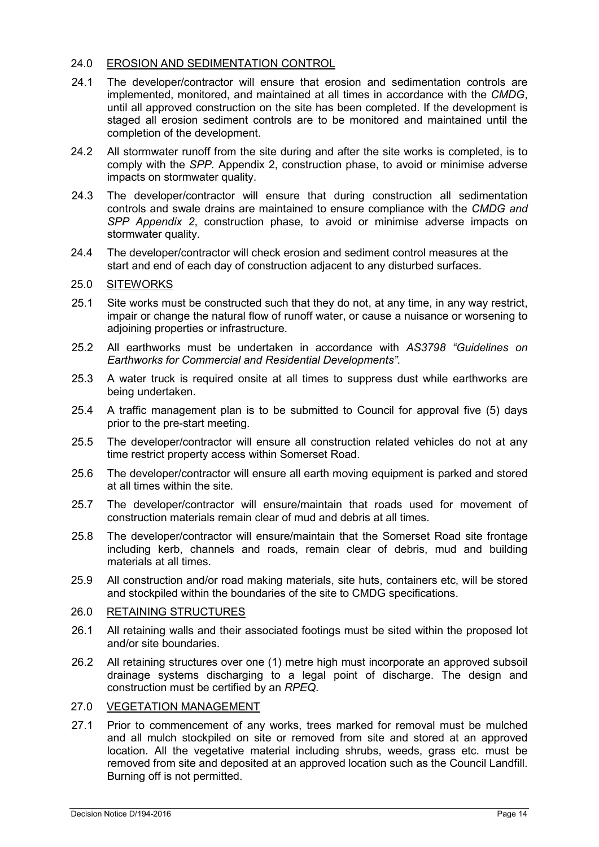## 24.0 EROSION AND SEDIMENTATION CONTROL

- 24.1 The developer/contractor will ensure that erosion and sedimentation controls are implemented, monitored, and maintained at all times in accordance with the *CMDG*, until all approved construction on the site has been completed. If the development is staged all erosion sediment controls are to be monitored and maintained until the completion of the development.
- 24.2 All stormwater runoff from the site during and after the site works is completed, is to comply with the *SPP.* Appendix 2, construction phase, to avoid or minimise adverse impacts on stormwater quality.
- 24.3 The developer/contractor will ensure that during construction all sedimentation controls and swale drains are maintained to ensure compliance with the *CMDG and SPP Appendix 2*, construction phase, to avoid or minimise adverse impacts on stormwater quality.
- 24.4 The developer/contractor will check erosion and sediment control measures at the start and end of each day of construction adjacent to any disturbed surfaces.

## 25.0 SITEWORKS

- 25.1 Site works must be constructed such that they do not, at any time, in any way restrict, impair or change the natural flow of runoff water, or cause a nuisance or worsening to adjoining properties or infrastructure.
- 25.2 All earthworks must be undertaken in accordance with *AS3798 "Guidelines on Earthworks for Commercial and Residential Developments"*.
- 25.3 A water truck is required onsite at all times to suppress dust while earthworks are being undertaken.
- 25.4 A traffic management plan is to be submitted to Council for approval five (5) days prior to the pre-start meeting.
- 25.5 The developer/contractor will ensure all construction related vehicles do not at any time restrict property access within Somerset Road.
- 25.6 The developer/contractor will ensure all earth moving equipment is parked and stored at all times within the site.
- 25.7 The developer/contractor will ensure/maintain that roads used for movement of construction materials remain clear of mud and debris at all times.
- 25.8 The developer/contractor will ensure/maintain that the Somerset Road site frontage including kerb, channels and roads, remain clear of debris, mud and building materials at all times.
- 25.9 All construction and/or road making materials, site huts, containers etc, will be stored and stockpiled within the boundaries of the site to CMDG specifications.

## 26.0 RETAINING STRUCTURES

- 26.1 All retaining walls and their associated footings must be sited within the proposed lot and/or site boundaries.
- 26.2 All retaining structures over one (1) metre high must incorporate an approved subsoil drainage systems discharging to a legal point of discharge. The design and construction must be certified by an *RPEQ*.

#### 27.0 VEGETATION MANAGEMENT

27.1 Prior to commencement of any works, trees marked for removal must be mulched and all mulch stockpiled on site or removed from site and stored at an approved location. All the vegetative material including shrubs, weeds, grass etc. must be removed from site and deposited at an approved location such as the Council Landfill. Burning off is not permitted.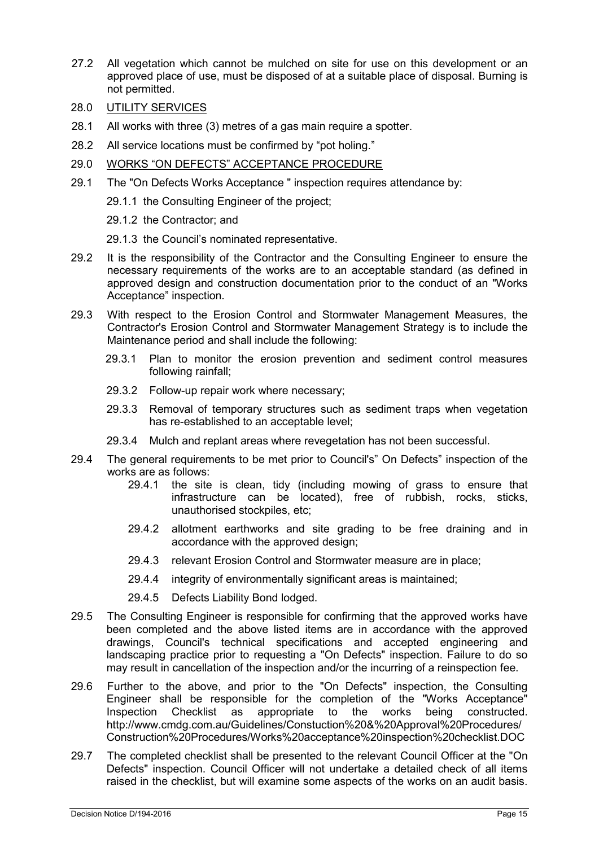- 27.2 All vegetation which cannot be mulched on site for use on this development or an approved place of use, must be disposed of at a suitable place of disposal. Burning is not permitted.
- 28.0 UTILITY SERVICES
- 28.1 All works with three (3) metres of a gas main require a spotter.
- 28.2 All service locations must be confirmed by "pot holing."
- 29.0 WORKS "ON DEFECTS" ACCEPTANCE PROCEDURE
- 29.1 The "On Defects Works Acceptance " inspection requires attendance by:

29.1.1 the Consulting Engineer of the project;

29.1.2 the Contractor; and

29.1.3 the Council's nominated representative.

- 29.2 It is the responsibility of the Contractor and the Consulting Engineer to ensure the necessary requirements of the works are to an acceptable standard (as defined in approved design and construction documentation prior to the conduct of an "Works Acceptance" inspection.
- 29.3 With respect to the Erosion Control and Stormwater Management Measures, the Contractor's Erosion Control and Stormwater Management Strategy is to include the Maintenance period and shall include the following:
	- 29.3.1 Plan to monitor the erosion prevention and sediment control measures following rainfall;
	- 29.3.2 Follow-up repair work where necessary;
	- 29.3.3 Removal of temporary structures such as sediment traps when vegetation has re-established to an acceptable level;
	- 29.3.4 Mulch and replant areas where revegetation has not been successful.
- 29.4 The general requirements to be met prior to Council's" On Defects" inspection of the works are as follows:<br>29.4.1 the site
	- the site is clean, tidy (including mowing of grass to ensure that infrastructure can be located), free of rubbish, rocks, sticks, unauthorised stockpiles, etc;
	- 29.4.2 allotment earthworks and site grading to be free draining and in accordance with the approved design;
	- 29.4.3 relevant Erosion Control and Stormwater measure are in place;
	- 29.4.4 integrity of environmentally significant areas is maintained;
	- 29.4.5 Defects Liability Bond lodged.
- 29.5 The Consulting Engineer is responsible for confirming that the approved works have been completed and the above listed items are in accordance with the approved drawings, Council's technical specifications and accepted engineering and landscaping practice prior to requesting a "On Defects" inspection. Failure to do so may result in cancellation of the inspection and/or the incurring of a reinspection fee.
- 29.6 Further to the above, and prior to the "On Defects" inspection, the Consulting Engineer shall be responsible for the completion of the "Works Acceptance" Inspection Checklist as appropriate to the works being constructed. http://www.cmdg.com.au/Guidelines/Constuction%20&%20Approval%20Procedures/ Construction%20Procedures/Works%20acceptance%20inspection%20checklist.DOC
- 29.7 The completed checklist shall be presented to the relevant Council Officer at the "On Defects" inspection. Council Officer will not undertake a detailed check of all items raised in the checklist, but will examine some aspects of the works on an audit basis.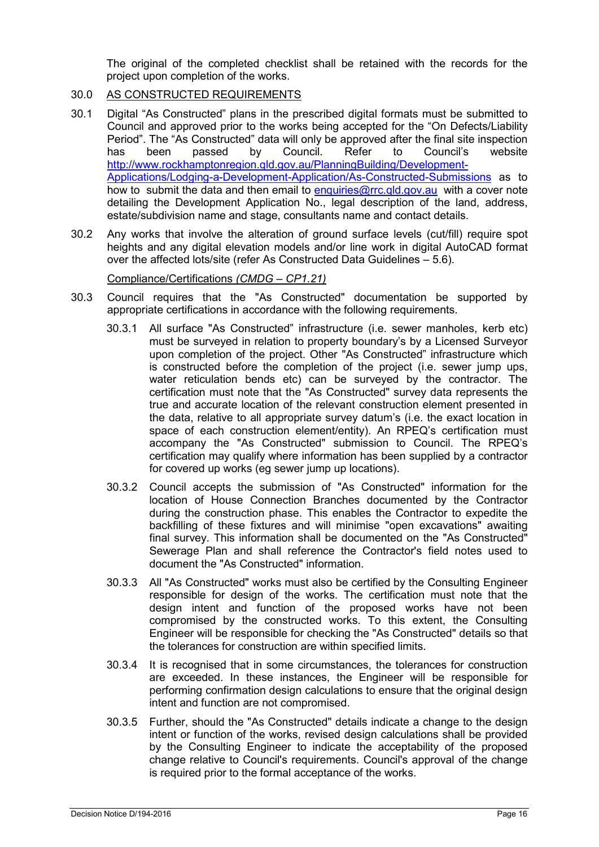The original of the completed checklist shall be retained with the records for the project upon completion of the works.

- 30.0 AS CONSTRUCTED REQUIREMENTS
- 30.1 Digital "As Constructed" plans in the prescribed digital formats must be submitted to Council and approved prior to the works being accepted for the "On Defects/Liability Period". The "As Constructed" data will only be approved after the final site inspection<br>has been passed by Council. Refer to Council's website has been passed by Council. Refer to Council's website [http://www.rockhamptonregion.qld.gov.au/PlanningBuilding/Development-](http://www.rockhamptonregion.qld.gov.au/PlanningBuilding/Development-Applications/Lodging-a-Development-Application/As-Constructed-Submissions)[Applications/Lodging-a-Development-Application/As-Constructed-Submissions](http://www.rockhamptonregion.qld.gov.au/PlanningBuilding/Development-Applications/Lodging-a-Development-Application/As-Constructed-Submissions) as to how to submit the data and then email to [enquiries@rrc.qld.gov.au](mailto:enquiries@rrc.qld.gov.au) with a cover note detailing the Development Application No., legal description of the land, address, estate/subdivision name and stage, consultants name and contact details.
- 30.2 Any works that involve the alteration of ground surface levels (cut/fill) require spot heights and any digital elevation models and/or line work in digital AutoCAD format over the affected lots/site (refer As Constructed Data Guidelines – 5.6).

## Compliance/Certifications *(CMDG – CP1.21)*

- 30.3 Council requires that the "As Constructed" documentation be supported by appropriate certifications in accordance with the following requirements.
	- 30.3.1 All surface "As Constructed" infrastructure (i.e. sewer manholes, kerb etc) must be surveyed in relation to property boundary's by a Licensed Surveyor upon completion of the project. Other "As Constructed" infrastructure which is constructed before the completion of the project (i.e. sewer jump ups, water reticulation bends etc) can be surveyed by the contractor. The certification must note that the "As Constructed" survey data represents the true and accurate location of the relevant construction element presented in the data, relative to all appropriate survey datum's (i.e. the exact location in space of each construction element/entity). An RPEQ's certification must accompany the "As Constructed" submission to Council. The RPEQ's certification may qualify where information has been supplied by a contractor for covered up works (eg sewer jump up locations).
	- 30.3.2 Council accepts the submission of "As Constructed" information for the location of House Connection Branches documented by the Contractor during the construction phase. This enables the Contractor to expedite the backfilling of these fixtures and will minimise "open excavations" awaiting final survey. This information shall be documented on the "As Constructed" Sewerage Plan and shall reference the Contractor's field notes used to document the "As Constructed" information.
	- 30.3.3 All "As Constructed" works must also be certified by the Consulting Engineer responsible for design of the works. The certification must note that the design intent and function of the proposed works have not been compromised by the constructed works. To this extent, the Consulting Engineer will be responsible for checking the "As Constructed" details so that the tolerances for construction are within specified limits.
	- 30.3.4 It is recognised that in some circumstances, the tolerances for construction are exceeded. In these instances, the Engineer will be responsible for performing confirmation design calculations to ensure that the original design intent and function are not compromised.
	- 30.3.5 Further, should the "As Constructed" details indicate a change to the design intent or function of the works, revised design calculations shall be provided by the Consulting Engineer to indicate the acceptability of the proposed change relative to Council's requirements. Council's approval of the change is required prior to the formal acceptance of the works.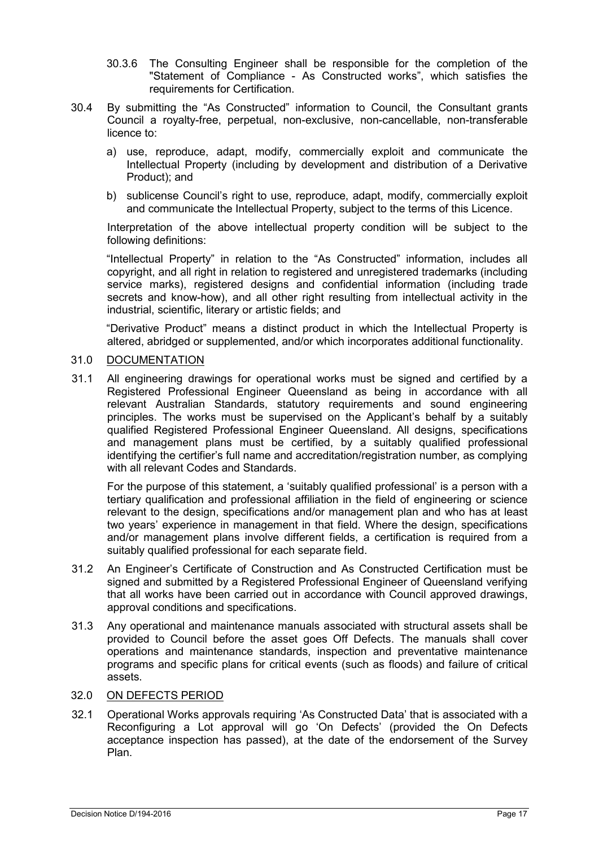- 30.3.6 The Consulting Engineer shall be responsible for the completion of the "Statement of Compliance - As Constructed works", which satisfies the requirements for Certification.
- 30.4 By submitting the "As Constructed" information to Council, the Consultant grants Council a royalty-free, perpetual, non-exclusive, non-cancellable, non-transferable licence to:
	- a) use, reproduce, adapt, modify, commercially exploit and communicate the Intellectual Property (including by development and distribution of a Derivative Product); and
	- b) sublicense Council's right to use, reproduce, adapt, modify, commercially exploit and communicate the Intellectual Property, subject to the terms of this Licence.

Interpretation of the above intellectual property condition will be subject to the following definitions:

"Intellectual Property" in relation to the "As Constructed" information, includes all copyright, and all right in relation to registered and unregistered trademarks (including service marks), registered designs and confidential information (including trade secrets and know-how), and all other right resulting from intellectual activity in the industrial, scientific, literary or artistic fields; and

"Derivative Product" means a distinct product in which the Intellectual Property is altered, abridged or supplemented, and/or which incorporates additional functionality.

#### 31.0 DOCUMENTATION

31.1 All engineering drawings for operational works must be signed and certified by a Registered Professional Engineer Queensland as being in accordance with all relevant Australian Standards, statutory requirements and sound engineering principles. The works must be supervised on the Applicant's behalf by a suitably qualified Registered Professional Engineer Queensland. All designs, specifications and management plans must be certified, by a suitably qualified professional identifying the certifier's full name and accreditation/registration number, as complying with all relevant Codes and Standards.

For the purpose of this statement, a 'suitably qualified professional' is a person with a tertiary qualification and professional affiliation in the field of engineering or science relevant to the design, specifications and/or management plan and who has at least two years' experience in management in that field. Where the design, specifications and/or management plans involve different fields, a certification is required from a suitably qualified professional for each separate field.

- 31.2 An Engineer's Certificate of Construction and As Constructed Certification must be signed and submitted by a Registered Professional Engineer of Queensland verifying that all works have been carried out in accordance with Council approved drawings, approval conditions and specifications.
- 31.3 Any operational and maintenance manuals associated with structural assets shall be provided to Council before the asset goes Off Defects. The manuals shall cover operations and maintenance standards, inspection and preventative maintenance programs and specific plans for critical events (such as floods) and failure of critical assets.

#### 32.0 ON DEFECTS PERIOD

32.1 Operational Works approvals requiring 'As Constructed Data' that is associated with a Reconfiguring a Lot approval will go 'On Defects' (provided the On Defects acceptance inspection has passed), at the date of the endorsement of the Survey Plan.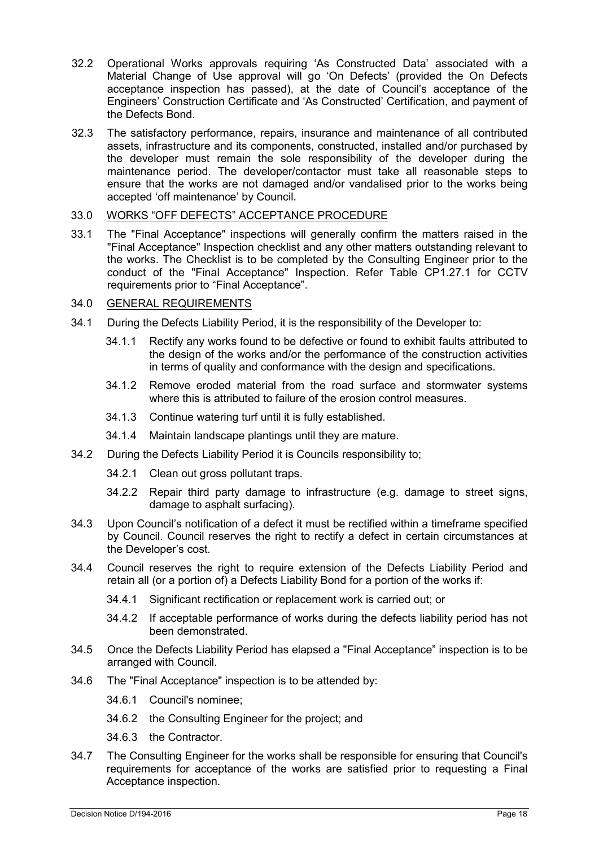- 32.2 Operational Works approvals requiring 'As Constructed Data' associated with a Material Change of Use approval will go 'On Defects' (provided the On Defects acceptance inspection has passed), at the date of Council's acceptance of the Engineers' Construction Certificate and 'As Constructed' Certification, and payment of the Defects Bond.
- 32.3 The satisfactory performance, repairs, insurance and maintenance of all contributed assets, infrastructure and its components, constructed, installed and/or purchased by the developer must remain the sole responsibility of the developer during the maintenance period. The developer/contactor must take all reasonable steps to ensure that the works are not damaged and/or vandalised prior to the works being accepted 'off maintenance' by Council.

## 33.0 WORKS "OFF DEFECTS" ACCEPTANCE PROCEDURE

33.1 The "Final Acceptance" inspections will generally confirm the matters raised in the "Final Acceptance" Inspection checklist and any other matters outstanding relevant to the works. The Checklist is to be completed by the Consulting Engineer prior to the conduct of the "Final Acceptance" Inspection. Refer Table CP1.27.1 for CCTV requirements prior to "Final Acceptance".

## 34.0 GENERAL REQUIREMENTS

- 34.1 During the Defects Liability Period, it is the responsibility of the Developer to:
	- 34.1.1 Rectify any works found to be defective or found to exhibit faults attributed to the design of the works and/or the performance of the construction activities in terms of quality and conformance with the design and specifications.
	- 34.1.2 Remove eroded material from the road surface and stormwater systems where this is attributed to failure of the erosion control measures.
	- 34.1.3 Continue watering turf until it is fully established.
	- 34.1.4 Maintain landscape plantings until they are mature.
- 34.2 During the Defects Liability Period it is Councils responsibility to;
	- 34.2.1 Clean out gross pollutant traps.
	- 34.2.2 Repair third party damage to infrastructure (e.g. damage to street signs, damage to asphalt surfacing).
- 34.3 Upon Council's notification of a defect it must be rectified within a timeframe specified by Council. Council reserves the right to rectify a defect in certain circumstances at the Developer's cost.
- 34.4 Council reserves the right to require extension of the Defects Liability Period and retain all (or a portion of) a Defects Liability Bond for a portion of the works if:
	- 34.4.1 Significant rectification or replacement work is carried out; or
	- 34.4.2 If acceptable performance of works during the defects liability period has not been demonstrated.
- 34.5 Once the Defects Liability Period has elapsed a "Final Acceptance" inspection is to be arranged with Council.
- 34.6 The "Final Acceptance" inspection is to be attended by:
	- 34.6.1 Council's nominee;
	- 34.6.2 the Consulting Engineer for the project; and
	- 34.6.3 the Contractor.
- 34.7 The Consulting Engineer for the works shall be responsible for ensuring that Council's requirements for acceptance of the works are satisfied prior to requesting a Final Acceptance inspection.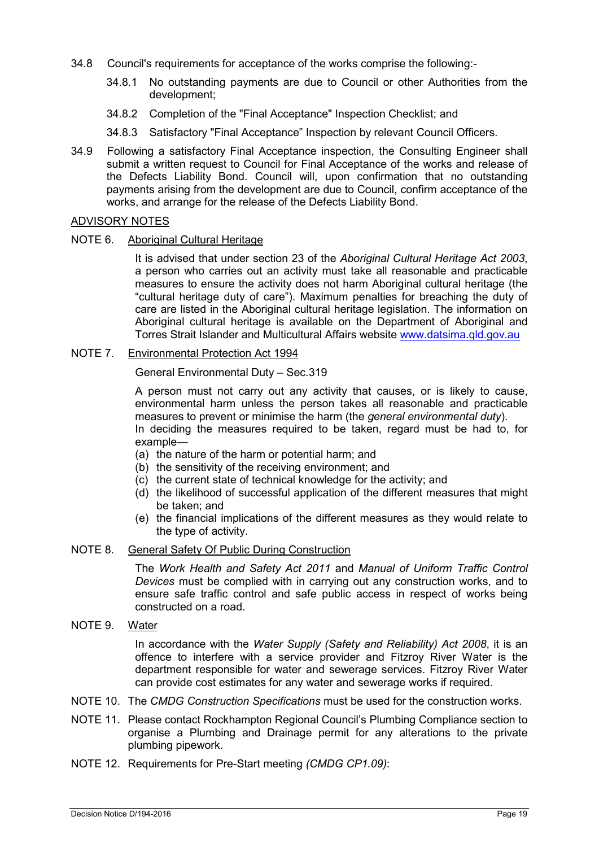- 34.8 Council's requirements for acceptance of the works comprise the following:-
	- 34.8.1 No outstanding payments are due to Council or other Authorities from the development;
	- 34.8.2 Completion of the "Final Acceptance" Inspection Checklist; and
	- 34.8.3 Satisfactory "Final Acceptance" Inspection by relevant Council Officers.
- 34.9 Following a satisfactory Final Acceptance inspection, the Consulting Engineer shall submit a written request to Council for Final Acceptance of the works and release of the Defects Liability Bond. Council will, upon confirmation that no outstanding payments arising from the development are due to Council, confirm acceptance of the works, and arrange for the release of the Defects Liability Bond.

#### ADVISORY NOTES

#### NOTE 6. Aboriginal Cultural Heritage

It is advised that under section 23 of the *Aboriginal Cultural Heritage Act 2003*, a person who carries out an activity must take all reasonable and practicable measures to ensure the activity does not harm Aboriginal cultural heritage (the "cultural heritage duty of care"). Maximum penalties for breaching the duty of care are listed in the Aboriginal cultural heritage legislation. The information on Aboriginal cultural heritage is available on the Department of Aboriginal and Torres Strait Islander and Multicultural Affairs website [www.datsima.qld.gov.au](http://www.datsima.qld.gov.au/)

#### NOTE 7. Environmental Protection Act 1994

General Environmental Duty – Sec.319

A person must not carry out any activity that causes, or is likely to cause, environmental harm unless the person takes all reasonable and practicable measures to prevent or minimise the harm (the *general environmental duty*). In deciding the measures required to be taken, regard must be had to, for example—

- (a) the nature of the harm or potential harm; and
- (b) the sensitivity of the receiving environment; and
- (c) the current state of technical knowledge for the activity; and
- (d) the likelihood of successful application of the different measures that might be taken; and
- (e) the financial implications of the different measures as they would relate to the type of activity.

#### NOTE 8. General Safety Of Public During Construction

The *Work Health and Safety Act 2011* and *Manual of Uniform Traffic Control Devices* must be complied with in carrying out any construction works, and to ensure safe traffic control and safe public access in respect of works being constructed on a road.

NOTE 9. Water

In accordance with the *Water Supply (Safety and Reliability) Act 2008*, it is an offence to interfere with a service provider and Fitzroy River Water is the department responsible for water and sewerage services. Fitzroy River Water can provide cost estimates for any water and sewerage works if required.

- NOTE 10. The *CMDG Construction Specifications* must be used for the construction works.
- NOTE 11. Please contact Rockhampton Regional Council's Plumbing Compliance section to organise a Plumbing and Drainage permit for any alterations to the private plumbing pipework.
- NOTE 12. Requirements for Pre-Start meeting *(CMDG CP1.09)*: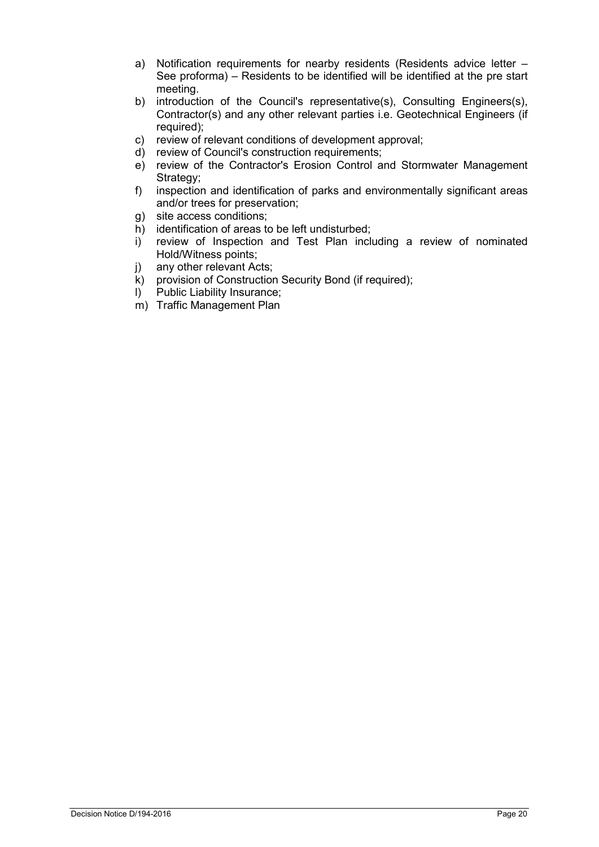- a) Notification requirements for nearby residents (Residents advice letter See proforma) – Residents to be identified will be identified at the pre start meeting.
- b) introduction of the Council's representative(s), Consulting Engineers(s), Contractor(s) and any other relevant parties i.e. Geotechnical Engineers (if required);
- c) review of relevant conditions of development approval;<br>d) review of Council's construction requirements:
- review of Council's construction requirements;
- e) review of the Contractor's Erosion Control and Stormwater Management Strategy;
- f) inspection and identification of parks and environmentally significant areas and/or trees for preservation;
- g) site access conditions;
- h) identification of areas to be left undisturbed;<br>i) review of Inspection and Test Plan incl
- review of Inspection and Test Plan including a review of nominated Hold/Witness points;
- j) any other relevant Acts;
- k) provision of Construction Security Bond (if required);<br>
1) Public Liability Insurance:
- Public Liability Insurance;
- m) Traffic Management Plan